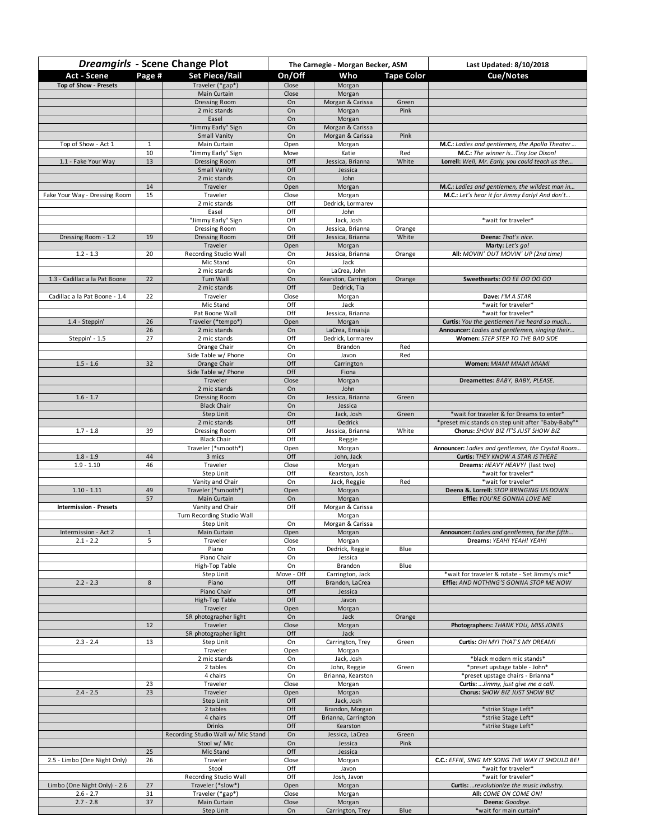| <b>Dreamgirls - Scene Change Plot</b> |                    |                                    | The Carnegie - Morgan Becker, ASM |                                        |                   | Last Updated: 8/10/2018                                                                          |
|---------------------------------------|--------------------|------------------------------------|-----------------------------------|----------------------------------------|-------------------|--------------------------------------------------------------------------------------------------|
| Act - Scene                           | Page #             | <b>Set Piece/Rail</b>              | On/Off                            | Who                                    | <b>Tape Color</b> | Cue/Notes                                                                                        |
| Top of Show - Presets                 |                    | Traveler (*gap*)                   | Close                             | Morgan                                 |                   |                                                                                                  |
|                                       |                    | Main Curtain                       | Close                             | Morgan                                 |                   |                                                                                                  |
|                                       |                    | Dressing Room<br>2 mic stands      | On<br>On                          | Morgan & Carissa<br>Morgan             | Green<br>Pink     |                                                                                                  |
|                                       |                    | Easel                              | On                                | Morgan                                 |                   |                                                                                                  |
|                                       |                    | "Jimmy Early" Sign                 | On                                | Morgan & Carissa                       |                   |                                                                                                  |
|                                       |                    | <b>Small Vanity</b>                | On                                | Morgan & Carissa                       | Pink              |                                                                                                  |
| Top of Show - Act 1                   | $\mathbf{1}$<br>10 | Main Curtain<br>"Jimmy Early" Sign | Open<br>Move                      | Morgan<br>Katie                        | Red               | M.C.: Ladies and gentlemen, the Apollo Theater<br>M.C.: The winner isTiny Joe Dixon!             |
| 1.1 - Fake Your Way                   | 13                 | Dressing Room                      | Off                               | Jessica, Brianna                       | White             | Lorrell: Well, Mr. Early, you could teach us the                                                 |
|                                       |                    | <b>Small Vanity</b>                | Off                               | Jessica                                |                   |                                                                                                  |
|                                       |                    | 2 mic stands                       | On                                | John                                   |                   |                                                                                                  |
| Fake Your Way - Dressing Room         | 14<br>15           | Traveler<br>Traveler               | Open<br>Close                     | Morgan                                 |                   | M.C.: Ladies and gentlemen, the wildest man in<br>M.C.: Let's hear it for Jimmy Early! And don't |
|                                       |                    | 2 mic stands                       | Off                               | Morgan<br>Dedrick, Lormarev            |                   |                                                                                                  |
|                                       |                    | Easel                              | Off                               | John                                   |                   |                                                                                                  |
|                                       |                    | "Jimmy Early" Sign                 | Off                               | Jack, Josh                             |                   | *wait for traveler*                                                                              |
|                                       | 19                 | Dressing Room                      | On<br>Off                         | Jessica, Brianna                       | Orange<br>White   | Deena: That's nice.                                                                              |
| Dressing Room - 1.2                   |                    | Dressing Room<br>Traveler          | Open                              | Jessica, Brianna<br>Morgan             |                   | Marty: Let's go!                                                                                 |
| $1.2 - 1.3$                           | 20                 | Recording Studio Wall              | On                                | Jessica, Brianna                       | Orange            | All: MOVIN' OUT MOVIN' UP (2nd time)                                                             |
|                                       |                    | Mic Stand                          | On                                | Jack                                   |                   |                                                                                                  |
|                                       |                    | 2 mic stands                       | On                                | LaCrea, John                           |                   |                                                                                                  |
| 1.3 - Cadillac a la Pat Boone         | 22                 | Turn Wall<br>2 mic stands          | On<br>Off                         | Kearston, Carrington<br>Dedrick, Tia   | Orange            | Sweethearts: OO EE OO OO OO                                                                      |
| Cadillac a la Pat Boone - 1.4         | 22                 | Traveler                           | Close                             | Morgan                                 |                   | Dave: I'M A STAR                                                                                 |
|                                       |                    | Mic Stand                          | Off                               | Jack                                   |                   | *wait for traveler*                                                                              |
|                                       |                    | Pat Boone Wall                     | Off                               | Jessica, Brianna                       |                   | *wait for traveler*                                                                              |
| 1.4 - Steppin'                        | 26<br>26           | Traveler (*tempo*)<br>2 mic stands | Open<br>On                        | Morgan<br>LaCrea, Ernaisja             |                   | Curtis: You the gentlemen I've heard so much<br>Announcer: Ladies and gentlemen, singing their   |
| Steppin' - 1.5                        | 27                 | 2 mic stands                       | Off                               | Dedrick, Lormarev                      |                   | Women: STEP STEP TO THE BAD SIDE                                                                 |
|                                       |                    | Orange Chair                       | On                                | Brandon                                | Red               |                                                                                                  |
|                                       |                    | Side Table w/ Phone                | On                                | Javon                                  | Red               |                                                                                                  |
| $1.5 - 1.6$                           | 32                 | Orange Chair                       | Off<br>Off                        | Carrington<br>Fiona                    |                   | Women: MIAMI MIAMI MIAMI                                                                         |
|                                       |                    | Side Table w/ Phone<br>Traveler    | Close                             | Morgan                                 |                   | Dreamettes: BABY, BABY, PLEASE.                                                                  |
|                                       |                    | 2 mic stands                       | On                                | John                                   |                   |                                                                                                  |
| $1.6 - 1.7$                           |                    | Dressing Room                      | On                                | Jessica, Brianna                       | Green             |                                                                                                  |
|                                       |                    | <b>Black Chair</b>                 | On                                | Jessica                                |                   |                                                                                                  |
|                                       |                    | <b>Step Unit</b><br>2 mic stands   | On<br>Off                         | Jack, Josh<br>Dedrick                  | Green             | *wait for traveler & for Dreams to enter*<br>*preset mic stands on step unit after "Baby-Baby"*  |
| $1.7 - 1.8$                           | 39                 | Dressing Room                      | Off                               | Jessica, Brianna                       | White             | Chorus: SHOW BIZ IT'S JUST SHOW BIZ                                                              |
|                                       |                    | <b>Black Chair</b>                 | Off                               | Reggie                                 |                   |                                                                                                  |
|                                       |                    | Traveler (*smooth*)                | Open                              | Morgan                                 |                   | Announcer: Ladies and gentlemen, the Crystal Room                                                |
| $1.8 - 1.9$<br>$1.9 - 1.10$           | 44<br>46           | 3 mics<br>Traveler                 | Off<br>Close                      | John, Jack<br>Morgan                   |                   | Curtis: THEY KNOW A STAR IS THERE<br>Dreams: HEAVY HEAVY! (last two)                             |
|                                       |                    | Step Unit                          | Off                               | Kearston, Josh                         |                   | *wait for traveler*                                                                              |
|                                       |                    | Vanity and Chair                   | On                                | Jack, Reggie                           | Red               | *wait for traveler*                                                                              |
| $1.10 - 1.11$                         | 49                 | Traveler (*smooth*)                | Open                              | Morgan                                 |                   | Deena &. Lorrell: STOP BRINGING US DOWN                                                          |
| <b>Intermission - Presets</b>         | 57                 | Main Curtain<br>Vanity and Chair   | On<br>Off                         | Morgan<br>Morgan & Carissa             |                   | Effie: YOU'RE GONNA LOVE ME                                                                      |
|                                       |                    | Turn Recording Studio Wall         |                                   | Morgan                                 |                   |                                                                                                  |
|                                       |                    | Step Unit                          | On                                | Morgan & Carissa                       |                   |                                                                                                  |
| Intermission - Act 2                  | $\pm$              | Main Curtain                       | Open                              | Morgan                                 |                   | Announcer: Ladies and gentlemen, for the fifth                                                   |
| $2.1 - 2.2$                           | 5                  | Traveler<br>Piano                  | Close<br>On                       | Morgan<br>Dedrick, Reggie              | Blue              | Dreams: YEAH! YEAH! YEAH!                                                                        |
|                                       |                    | Piano Chair                        | On                                | Jessica                                |                   |                                                                                                  |
|                                       |                    | High-Top Table                     | On                                | Brandon                                | Blue              |                                                                                                  |
|                                       |                    | Step Unit                          | Move - Off                        | Carrington, Jack                       |                   | *wait for traveler & rotate - Set Jimmy's mic*                                                   |
| $2.2 - 2.3$                           | 8                  | Piano<br>Piano Chair               | Off<br>Off                        | Brandon, LaCrea<br>Jessica             |                   | Effie: AND NOTHING'S GONNA STOP ME NOW                                                           |
|                                       |                    | High-Top Table                     | Off                               | Javon                                  |                   |                                                                                                  |
|                                       |                    | Traveler                           | Open                              | Morgan                                 |                   |                                                                                                  |
|                                       |                    | SR photographer light              | On                                | Jack                                   | Orange            |                                                                                                  |
|                                       | 12                 | Traveler<br>SR photographer light  | Close<br>Off                      | Morgan<br>Jack                         |                   | Photographers: THANK YOU, MISS JONES                                                             |
| $2.3 - 2.4$                           | 13                 | Step Unit                          | On                                | Carrington, Trey                       | Green             | Curtis: OH MY! THAT'S MY DREAM!                                                                  |
|                                       |                    | Traveler                           | Open                              | Morgan                                 |                   |                                                                                                  |
|                                       |                    | 2 mic stands                       | On                                | Jack, Josh                             |                   | *black modern mic stands*                                                                        |
|                                       |                    | 2 tables<br>4 chairs               | On<br>On                          | John, Reggie<br>Brianna, Kearston      | Green             | *preset upstage table - John*<br>*preset upstage chairs - Brianna*                               |
|                                       | 23                 | Traveler                           | Close                             | Morgan                                 |                   | Curtis:  Jimmy, just give me a call.                                                             |
| $2.4 - 2.5$                           | 23                 | Traveler                           | Open                              | Morgan                                 |                   | Chorus: SHOW BIZ JUST SHOW BIZ                                                                   |
|                                       |                    | Step Unit                          | Off                               | Jack, Josh                             |                   |                                                                                                  |
|                                       |                    | 2 tables<br>4 chairs               | Off<br>Off                        | Brandon, Morgan<br>Brianna, Carrington |                   | *strike Stage Left*<br>*strike Stage Left*                                                       |
|                                       |                    | Drinks                             | Off                               | Kearston                               |                   | *strike Stage Left*                                                                              |
|                                       |                    | Recording Studio Wall w/ Mic Stand | On                                | Jessica, LaCrea                        | Green             |                                                                                                  |
|                                       |                    | Stool w/ Mic                       | On                                | Jessica                                | Pink              |                                                                                                  |
| 2.5 - Limbo (One Night Only)          | 25<br>26           | Mic Stand<br>Traveler              | Off<br>Close                      | Jessica                                |                   | C.C.: EFFIE, SING MY SONG THE WAY IT SHOULD BE!                                                  |
|                                       |                    | Stool                              | Off                               | Morgan<br>Javon                        |                   | *wait for traveler*                                                                              |
|                                       |                    | Recording Studio Wall              | Off                               | Josh, Javon                            |                   | *wait for traveler*                                                                              |
| Limbo (One Night Only) - 2.6          | 27                 | Traveler (*slow*)                  | Open                              | Morgan                                 |                   | Curtis: revolutionize the music industry.                                                        |
| $2.6 - 2.7$<br>$2.7 - 2.8$            | 31<br>37           | Traveler (*gap*)<br>Main Curtain   | Close<br>Close                    | Morgan<br>Morgan                       |                   | All: COME ON COME ON!<br>Deena: Goodbye.                                                         |
|                                       |                    | Step Unit                          | On                                | Carrington, Trey                       | Blue              | *wait for main curtain*                                                                          |